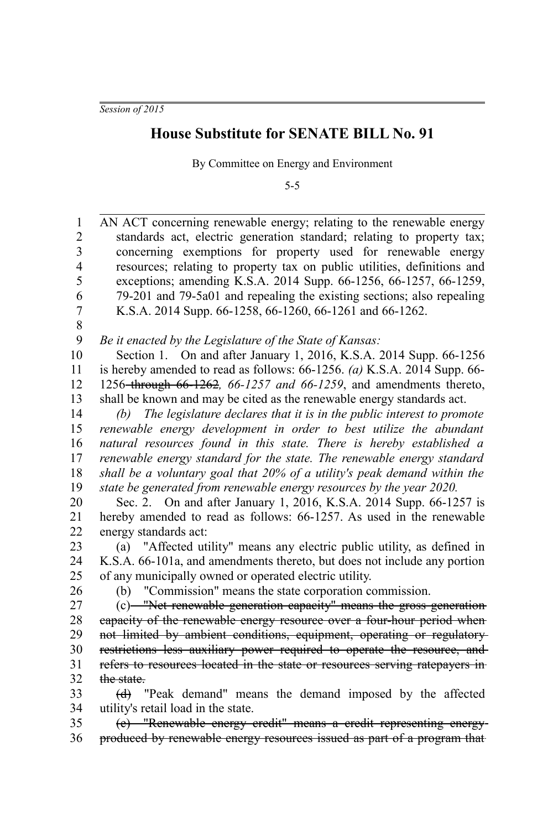*Session of 2015*

## **House Substitute for SENATE BILL No. 91**

By Committee on Energy and Environment

5-5

AN ACT concerning renewable energy; relating to the renewable energy standards act, electric generation standard; relating to property tax; concerning exemptions for property used for renewable energy resources; relating to property tax on public utilities, definitions and exceptions; amending K.S.A. 2014 Supp. 66-1256, 66-1257, 66-1259, 79-201 and 79-5a01 and repealing the existing sections; also repealing K.S.A. 2014 Supp. 66-1258, 66-1260, 66-1261 and 66-1262. 1 2 3 4 5 6 7

8

*Be it enacted by the Legislature of the State of Kansas:* 9

Section 1. On and after January 1, 2016, K.S.A. 2014 Supp. 66-1256 is hereby amended to read as follows: 66-1256. *(a)* K.S.A. 2014 Supp. 66- 1256 through 66-1262*, 66-1257 and 66-1259*, and amendments thereto, shall be known and may be cited as the renewable energy standards act. 10 11 12 13

*(b) The legislature declares that it is in the public interest to promote renewable energy development in order to best utilize the abundant natural resources found in this state. There is hereby established a renewable energy standard for the state. The renewable energy standard shall be a voluntary goal that 20% of a utility's peak demand within the state be generated from renewable energy resources by the year 2020.* 14 15 16 17 18 19

Sec. 2. On and after January 1, 2016, K.S.A. 2014 Supp. 66-1257 is hereby amended to read as follows: 66-1257. As used in the renewable energy standards act: 20 21 22

(a) "Affected utility" means any electric public utility, as defined in K.S.A. 66-101a, and amendments thereto, but does not include any portion of any municipally owned or operated electric utility. 23 24 25

26

(b) "Commission" means the state corporation commission.

(c) "Net renewable generation capacity" means the gross generation capacity of the renewable energy resource over a four-hour period when not limited by ambient conditions, equipment, operating or regulatory restrictions less auxiliary power required to operate the resource, and refers to resources located in the state or resources serving ratepayers in the state. 27 28 29 30 31 32

(d) "Peak demand" means the demand imposed by the affected utility's retail load in the state. 33 34

(e) "Renewable energy credit" means a credit representing energy produced by renewable energy resources issued as part of a program that 35 36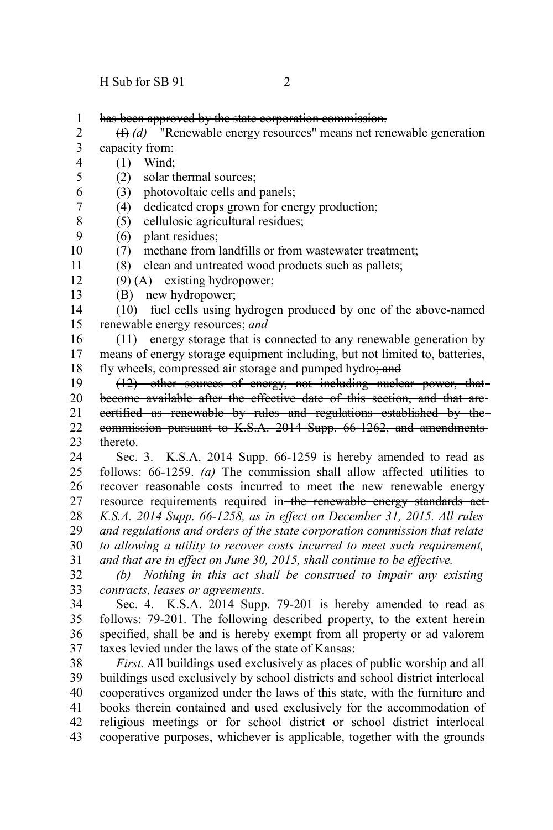has been approved by the state corporation commission. 1

(f) *(d)* "Renewable energy resources" means net renewable generation capacity from: 2 3

- (1) Wind; 4
- (2) solar thermal sources; 5
- (3) photovoltaic cells and panels; 6
- (4) dedicated crops grown for energy production; 7
- (5) cellulosic agricultural residues; 8
- (6) plant residues; 9

(7) methane from landfills or from wastewater treatment; 10

(8) clean and untreated wood products such as pallets; 11

(9) (A) existing hydropower; 12

(B) new hydropower; 13

(10) fuel cells using hydrogen produced by one of the above-named renewable energy resources; *and* 14 15

(11) energy storage that is connected to any renewable generation by means of energy storage equipment including, but not limited to, batteries, fly wheels, compressed air storage and pumped hydro; and 16 17 18

(12) other sources of energy, not including nuclear power, that become available after the effective date of this section, and that are certified as renewable by rules and regulations established by the commission pursuant to K.S.A. 2014 Supp. 66-1262, and amendments thereto. 19 20 21 22 23

Sec. 3. K.S.A. 2014 Supp. 66-1259 is hereby amended to read as follows: 66-1259. *(a)* The commission shall allow affected utilities to recover reasonable costs incurred to meet the new renewable energy resource requirements required in the renewable energy standards act-*K.S.A. 2014 Supp. 66-1258, as in effect on December 31, 2015. All rules and regulations and orders of the state corporation commission that relate to allowing a utility to recover costs incurred to meet such requirement, and that are in effect on June 30, 2015, shall continue to be effective.* 24 25 26 27 28 29 30 31

*(b) Nothing in this act shall be construed to impair any existing contracts, leases or agreements*. 32 33

Sec. 4. K.S.A. 2014 Supp. 79-201 is hereby amended to read as follows: 79-201. The following described property, to the extent herein specified, shall be and is hereby exempt from all property or ad valorem taxes levied under the laws of the state of Kansas: 34 35 36 37

*First.* All buildings used exclusively as places of public worship and all buildings used exclusively by school districts and school district interlocal cooperatives organized under the laws of this state, with the furniture and books therein contained and used exclusively for the accommodation of religious meetings or for school district or school district interlocal cooperative purposes, whichever is applicable, together with the grounds 38 39 40 41 42 43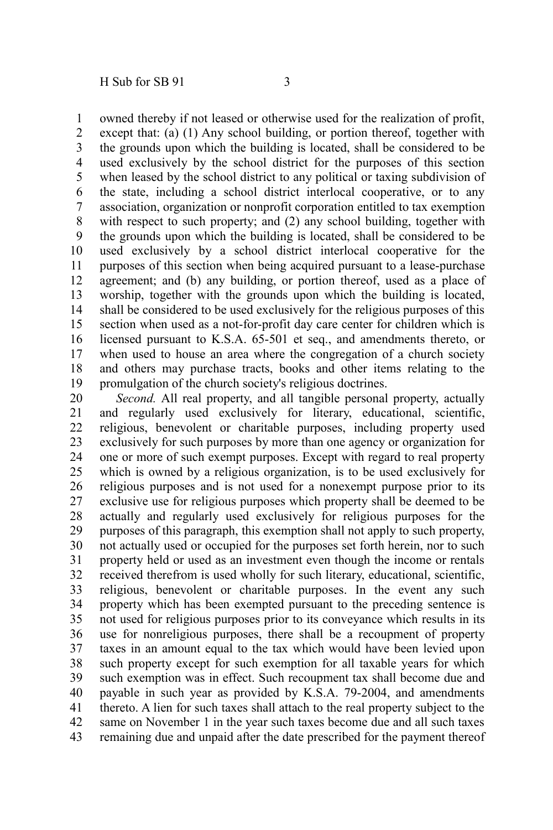owned thereby if not leased or otherwise used for the realization of profit, 1

except that: (a) (1) Any school building, or portion thereof, together with the grounds upon which the building is located, shall be considered to be used exclusively by the school district for the purposes of this section when leased by the school district to any political or taxing subdivision of the state, including a school district interlocal cooperative, or to any association, organization or nonprofit corporation entitled to tax exemption with respect to such property; and (2) any school building, together with the grounds upon which the building is located, shall be considered to be used exclusively by a school district interlocal cooperative for the purposes of this section when being acquired pursuant to a lease-purchase agreement; and (b) any building, or portion thereof, used as a place of worship, together with the grounds upon which the building is located, shall be considered to be used exclusively for the religious purposes of this section when used as a not-for-profit day care center for children which is licensed pursuant to K.S.A. 65-501 et seq., and amendments thereto, or when used to house an area where the congregation of a church society and others may purchase tracts, books and other items relating to the promulgation of the church society's religious doctrines. 2 3 4 5 6 7 8 9 10 11 12 13 14 15 16 17 18 19

*Second.* All real property, and all tangible personal property, actually and regularly used exclusively for literary, educational, scientific, religious, benevolent or charitable purposes, including property used exclusively for such purposes by more than one agency or organization for one or more of such exempt purposes. Except with regard to real property which is owned by a religious organization, is to be used exclusively for religious purposes and is not used for a nonexempt purpose prior to its exclusive use for religious purposes which property shall be deemed to be actually and regularly used exclusively for religious purposes for the purposes of this paragraph, this exemption shall not apply to such property, not actually used or occupied for the purposes set forth herein, nor to such property held or used as an investment even though the income or rentals received therefrom is used wholly for such literary, educational, scientific, religious, benevolent or charitable purposes. In the event any such property which has been exempted pursuant to the preceding sentence is not used for religious purposes prior to its conveyance which results in its use for nonreligious purposes, there shall be a recoupment of property taxes in an amount equal to the tax which would have been levied upon such property except for such exemption for all taxable years for which such exemption was in effect. Such recoupment tax shall become due and payable in such year as provided by K.S.A. 79-2004, and amendments thereto. A lien for such taxes shall attach to the real property subject to the same on November 1 in the year such taxes become due and all such taxes remaining due and unpaid after the date prescribed for the payment thereof 20 21 22 23 24 25 26 27 28 29 30 31 32 33 34 35 36 37 38 39 40 41 42 43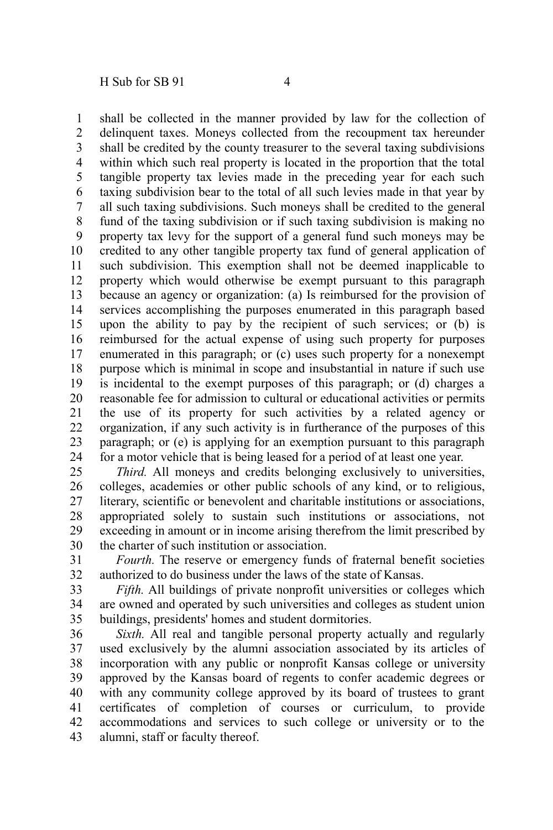shall be collected in the manner provided by law for the collection of delinquent taxes. Moneys collected from the recoupment tax hereunder shall be credited by the county treasurer to the several taxing subdivisions within which such real property is located in the proportion that the total tangible property tax levies made in the preceding year for each such taxing subdivision bear to the total of all such levies made in that year by all such taxing subdivisions. Such moneys shall be credited to the general fund of the taxing subdivision or if such taxing subdivision is making no property tax levy for the support of a general fund such moneys may be credited to any other tangible property tax fund of general application of such subdivision. This exemption shall not be deemed inapplicable to property which would otherwise be exempt pursuant to this paragraph because an agency or organization: (a) Is reimbursed for the provision of services accomplishing the purposes enumerated in this paragraph based upon the ability to pay by the recipient of such services; or (b) is reimbursed for the actual expense of using such property for purposes enumerated in this paragraph; or (c) uses such property for a nonexempt purpose which is minimal in scope and insubstantial in nature if such use is incidental to the exempt purposes of this paragraph; or (d) charges a reasonable fee for admission to cultural or educational activities or permits the use of its property for such activities by a related agency or organization, if any such activity is in furtherance of the purposes of this paragraph; or (e) is applying for an exemption pursuant to this paragraph for a motor vehicle that is being leased for a period of at least one year. 1 2 3 4 5 6 7 8 9 10 11 12 13 14 15 16 17 18 19 20 21 22 23 24

*Third.* All moneys and credits belonging exclusively to universities, colleges, academies or other public schools of any kind, or to religious, literary, scientific or benevolent and charitable institutions or associations, appropriated solely to sustain such institutions or associations, not exceeding in amount or in income arising therefrom the limit prescribed by the charter of such institution or association. 25 26 27 28 29 30

*Fourth.* The reserve or emergency funds of fraternal benefit societies authorized to do business under the laws of the state of Kansas. 31 32

*Fifth.* All buildings of private nonprofit universities or colleges which are owned and operated by such universities and colleges as student union buildings, presidents' homes and student dormitories. 33 34 35

*Sixth.* All real and tangible personal property actually and regularly used exclusively by the alumni association associated by its articles of incorporation with any public or nonprofit Kansas college or university approved by the Kansas board of regents to confer academic degrees or with any community college approved by its board of trustees to grant certificates of completion of courses or curriculum, to provide accommodations and services to such college or university or to the alumni, staff or faculty thereof. 36 37 38 39 40 41 42 43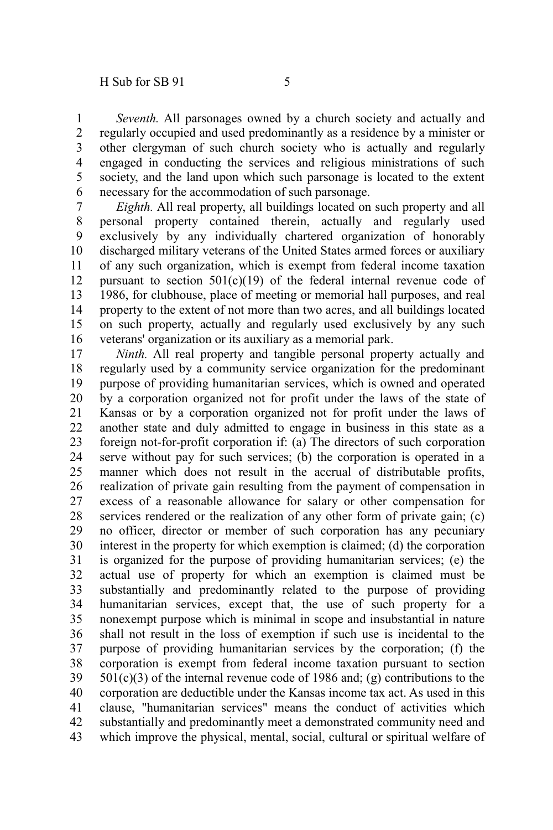*Seventh.* All parsonages owned by a church society and actually and regularly occupied and used predominantly as a residence by a minister or other clergyman of such church society who is actually and regularly engaged in conducting the services and religious ministrations of such society, and the land upon which such parsonage is located to the extent necessary for the accommodation of such parsonage. 1 2 3 4 5 6

*Eighth.* All real property, all buildings located on such property and all personal property contained therein, actually and regularly used exclusively by any individually chartered organization of honorably discharged military veterans of the United States armed forces or auxiliary of any such organization, which is exempt from federal income taxation pursuant to section  $501(c)(19)$  of the federal internal revenue code of 1986, for clubhouse, place of meeting or memorial hall purposes, and real property to the extent of not more than two acres, and all buildings located on such property, actually and regularly used exclusively by any such veterans' organization or its auxiliary as a memorial park. 7 8 9

*Ninth.* All real property and tangible personal property actually and regularly used by a community service organization for the predominant purpose of providing humanitarian services, which is owned and operated by a corporation organized not for profit under the laws of the state of Kansas or by a corporation organized not for profit under the laws of another state and duly admitted to engage in business in this state as a foreign not-for-profit corporation if: (a) The directors of such corporation serve without pay for such services; (b) the corporation is operated in a manner which does not result in the accrual of distributable profits, realization of private gain resulting from the payment of compensation in excess of a reasonable allowance for salary or other compensation for services rendered or the realization of any other form of private gain; (c) no officer, director or member of such corporation has any pecuniary interest in the property for which exemption is claimed; (d) the corporation is organized for the purpose of providing humanitarian services; (e) the actual use of property for which an exemption is claimed must be substantially and predominantly related to the purpose of providing humanitarian services, except that, the use of such property for a nonexempt purpose which is minimal in scope and insubstantial in nature shall not result in the loss of exemption if such use is incidental to the purpose of providing humanitarian services by the corporation; (f) the corporation is exempt from federal income taxation pursuant to section  $501(c)(3)$  of the internal revenue code of 1986 and; (g) contributions to the corporation are deductible under the Kansas income tax act. As used in this clause, "humanitarian services" means the conduct of activities which substantially and predominantly meet a demonstrated community need and which improve the physical, mental, social, cultural or spiritual welfare of 18 19 20 21 22 23 24 25 26 27 28 29 30 31 32 33 34 35 36 37 38 39 40 41 42 43

10 11 12 13 14 15 16 17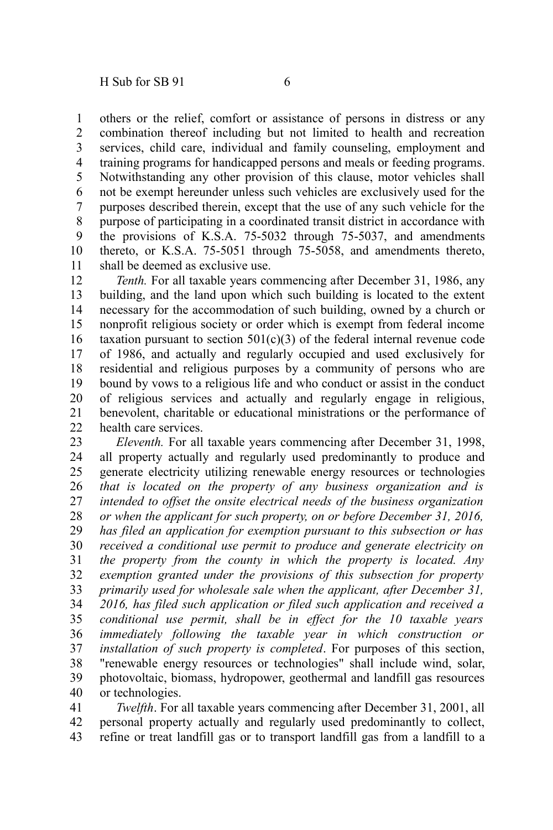others or the relief, comfort or assistance of persons in distress or any combination thereof including but not limited to health and recreation services, child care, individual and family counseling, employment and training programs for handicapped persons and meals or feeding programs. Notwithstanding any other provision of this clause, motor vehicles shall not be exempt hereunder unless such vehicles are exclusively used for the purposes described therein, except that the use of any such vehicle for the purpose of participating in a coordinated transit district in accordance with the provisions of K.S.A. 75-5032 through 75-5037, and amendments thereto, or K.S.A. 75-5051 through 75-5058, and amendments thereto, 1 2 3 4 5 6 7 8 9 10

shall be deemed as exclusive use. 11

*Tenth.* For all taxable years commencing after December 31, 1986, any building, and the land upon which such building is located to the extent necessary for the accommodation of such building, owned by a church or nonprofit religious society or order which is exempt from federal income taxation pursuant to section  $501(c)(3)$  of the federal internal revenue code of 1986, and actually and regularly occupied and used exclusively for residential and religious purposes by a community of persons who are bound by vows to a religious life and who conduct or assist in the conduct of religious services and actually and regularly engage in religious, benevolent, charitable or educational ministrations or the performance of health care services. 12 13 14 15 16 17 18 19 20 21 22

*Eleventh.* For all taxable years commencing after December 31, 1998, all property actually and regularly used predominantly to produce and generate electricity utilizing renewable energy resources or technologies *that is located on the property of any business organization and is intended to offset the onsite electrical needs of the business organization or when the applicant for such property, on or before December 31, 2016, has filed an application for exemption pursuant to this subsection or has received a conditional use permit to produce and generate electricity on the property from the county in which the property is located. Any exemption granted under the provisions of this subsection for property primarily used for wholesale sale when the applicant, after December 31, 2016, has filed such application or filed such application and received a conditional use permit, shall be in effect for the 10 taxable years immediately following the taxable year in which construction or installation of such property is completed*. For purposes of this section, "renewable energy resources or technologies" shall include wind, solar, photovoltaic, biomass, hydropower, geothermal and landfill gas resources or technologies. 23 24 25 26 27 28 29 30 31 32 33 34 35 36 37 38 39 40

*Twelfth*. For all taxable years commencing after December 31, 2001, all personal property actually and regularly used predominantly to collect, refine or treat landfill gas or to transport landfill gas from a landfill to a 41 42 43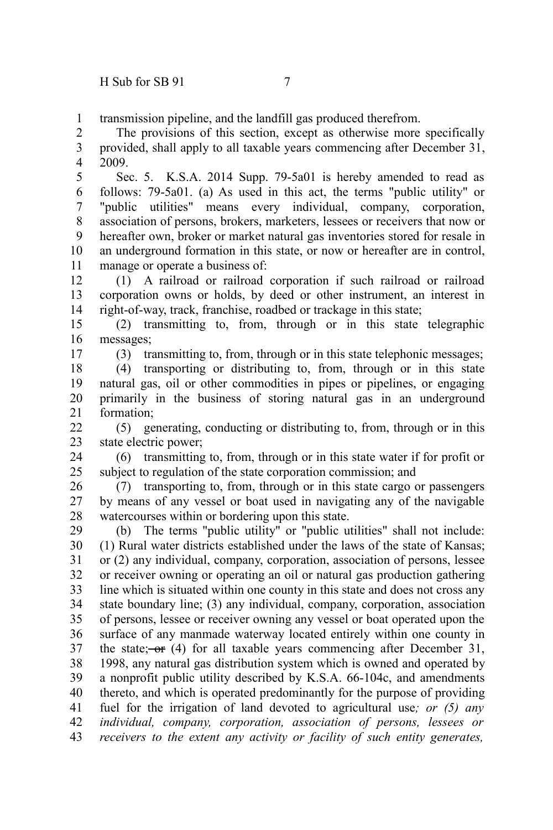17

transmission pipeline, and the landfill gas produced therefrom. 1

The provisions of this section, except as otherwise more specifically provided, shall apply to all taxable years commencing after December 31, 2009. 2 3 4

Sec. 5. K.S.A. 2014 Supp. 79-5a01 is hereby amended to read as follows: 79-5a01. (a) As used in this act, the terms "public utility" or "public utilities" means every individual, company, corporation, association of persons, brokers, marketers, lessees or receivers that now or hereafter own, broker or market natural gas inventories stored for resale in an underground formation in this state, or now or hereafter are in control, manage or operate a business of: 5 6 7 8 9 10 11

(1) A railroad or railroad corporation if such railroad or railroad corporation owns or holds, by deed or other instrument, an interest in right-of-way, track, franchise, roadbed or trackage in this state; 12 13 14

(2) transmitting to, from, through or in this state telegraphic messages; 15 16

(3) transmitting to, from, through or in this state telephonic messages;

(4) transporting or distributing to, from, through or in this state natural gas, oil or other commodities in pipes or pipelines, or engaging primarily in the business of storing natural gas in an underground formation; 18 19 20 21

(5) generating, conducting or distributing to, from, through or in this state electric power;  $22$ 23

(6) transmitting to, from, through or in this state water if for profit or subject to regulation of the state corporation commission; and 24 25

(7) transporting to, from, through or in this state cargo or passengers by means of any vessel or boat used in navigating any of the navigable watercourses within or bordering upon this state. 26 27 28

(b) The terms "public utility" or "public utilities" shall not include: (1) Rural water districts established under the laws of the state of Kansas; or (2) any individual, company, corporation, association of persons, lessee or receiver owning or operating an oil or natural gas production gathering line which is situated within one county in this state and does not cross any state boundary line; (3) any individual, company, corporation, association of persons, lessee or receiver owning any vessel or boat operated upon the surface of any manmade waterway located entirely within one county in the state;  $-$ or (4) for all taxable years commencing after December 31, 1998, any natural gas distribution system which is owned and operated by a nonprofit public utility described by K.S.A. 66-104c, and amendments thereto, and which is operated predominantly for the purpose of providing fuel for the irrigation of land devoted to agricultural use*; or (5) any individual, company, corporation, association of persons, lessees or receivers to the extent any activity or facility of such entity generates,* 29 30 31 32 33 34 35 36 37 38 39 40 41 42 43